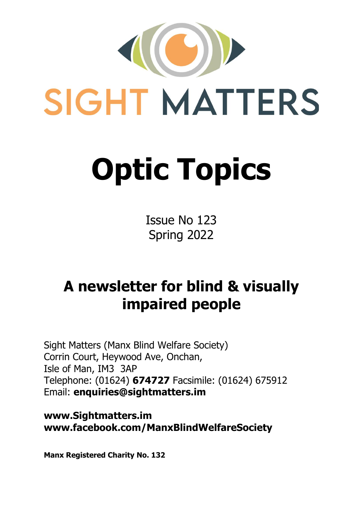

Issue No 123 Spring 2022

# **A newsletter for blind & visually impaired people**

Sight Matters (Manx Blind Welfare Society) Corrin Court, Heywood Ave, Onchan, Isle of Man, IM3 3AP Telephone: (01624) **674727** Facsimile: (01624) 675912 Email: **enquiries@sightmatters.im**

**www.Sightmatters.im www.facebook.com/ManxBlindWelfareSociety**

**Manx Registered Charity No. 132**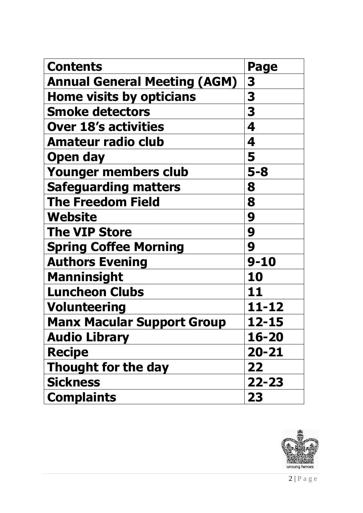| <b>Contents</b>                     | Page      |
|-------------------------------------|-----------|
| <b>Annual General Meeting (AGM)</b> | 3         |
| <b>Home visits by opticians</b>     | 3         |
| <b>Smoke detectors</b>              | 3         |
| <b>Over 18's activities</b>         | 4         |
| <b>Amateur radio club</b>           | 4         |
| <b>Open day</b>                     | 5         |
| Younger members club                | $5 - 8$   |
| <b>Safeguarding matters</b>         | 8         |
| <b>The Freedom Field</b>            | 8         |
| Website                             | 9         |
| <b>The VIP Store</b>                | 9         |
| <b>Spring Coffee Morning</b>        | 9         |
| <b>Authors Evening</b>              | $9 - 10$  |
| <b>Manninsight</b>                  | 10        |
| <b>Luncheon Clubs</b>               | 11        |
| <b>Volunteering</b>                 | 11-12     |
| <b>Manx Macular Support Group</b>   | 12-15     |
| <b>Audio Library</b>                | 16-20     |
| <b>Recipe</b>                       | 20-21     |
| <b>Thought for the day</b>          | 22        |
| <b>Sickness</b>                     | $22 - 23$ |
| <b>Complaints</b>                   | 23        |

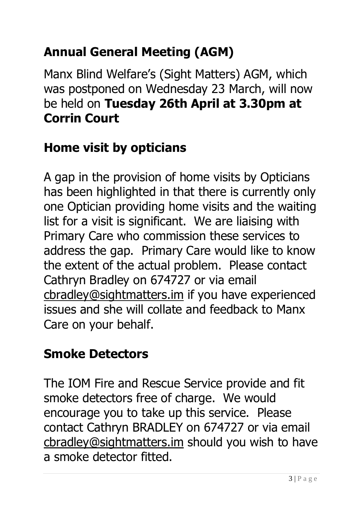# **Annual General Meeting (AGM)**

Manx Blind Welfare's (Sight Matters) AGM, which was postponed on Wednesday 23 March, will now be held on **Tuesday 26th April at 3.30pm at Corrin Court**

### **Home visit by opticians**

A gap in the provision of home visits by Opticians has been highlighted in that there is currently only one Optician providing home visits and the waiting list for a visit is significant. We are liaising with Primary Care who commission these services to address the gap. Primary Care would like to know the extent of the actual problem. Please contact Cathryn Bradley on 674727 or via email [cbradley@sightmatters.im](mailto:cbradley@sightmatters.im) if you have experienced issues and she will collate and feedback to Manx Care on your behalf.

#### **Smoke Detectors**

The IOM Fire and Rescue Service provide and fit smoke detectors free of charge. We would encourage you to take up this service. Please contact Cathryn BRADLEY on 674727 or via email [cbradley@sightmatters.im](mailto:cbradley@sightmatters.im) should you wish to have a smoke detector fitted.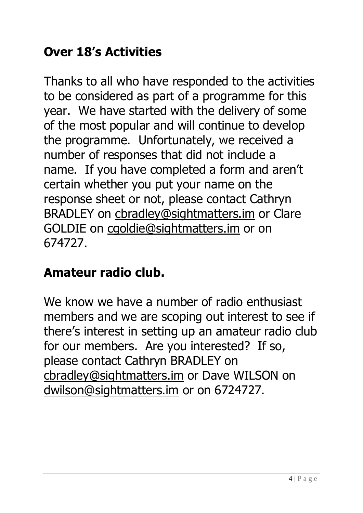# **Over 18's Activities**

Thanks to all who have responded to the activities to be considered as part of a programme for this year. We have started with the delivery of some of the most popular and will continue to develop the programme. Unfortunately, we received a number of responses that did not include a name. If you have completed a form and aren't certain whether you put your name on the response sheet or not, please contact Cathryn BRADLEY on [cbradley@sightmatters.im](mailto:cbradley@sightmatters.im) or Clare GOLDIE on [cgoldie@sightmatters.im](mailto:cgoldie@sightmatters.im) or on 674727.

#### **Amateur radio club.**

We know we have a number of radio enthusiast members and we are scoping out interest to see if there's interest in setting up an amateur radio club for our members. Are you interested? If so, please contact Cathryn BRADLEY on [cbradley@sightmatters.im](mailto:cbradley@sightmatters.im) or Dave WILSON on [dwilson@sightmatters.im](mailto:dwilson@sightmatters.im) or on 6724727.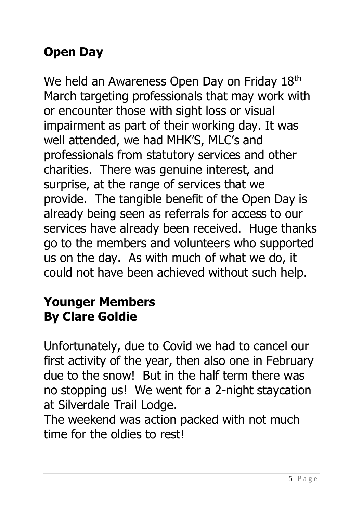# **Open Day**

We held an Awareness Open Day on Friday 18th March targeting professionals that may work with or encounter those with sight loss or visual impairment as part of their working day. It was well attended, we had MHK'S, MLC's and professionals from statutory services and other charities. There was genuine interest, and surprise, at the range of services that we provide. The tangible benefit of the Open Day is already being seen as referrals for access to our services have already been received. Huge thanks go to the members and volunteers who supported us on the day. As with much of what we do, it could not have been achieved without such help.

#### **Younger Members By Clare Goldie**

Unfortunately, due to Covid we had to cancel our first activity of the year, then also one in February due to the snow! But in the half term there was no stopping us! We went for a 2-night staycation at Silverdale Trail Lodge.

The weekend was action packed with not much time for the oldies to rest!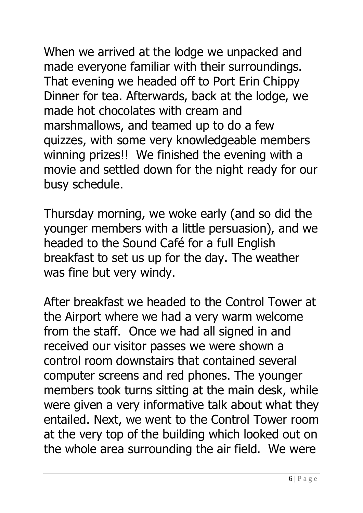When we arrived at the lodge we unpacked and made everyone familiar with their surroundings. That evening we headed off to Port Erin Chippy Dinner for tea. Afterwards, back at the lodge, we made hot chocolates with cream and marshmallows, and teamed up to do a few quizzes, with some very knowledgeable members winning prizes!! We finished the evening with a movie and settled down for the night ready for our busy schedule.

Thursday morning, we woke early (and so did the younger members with a little persuasion), and we headed to the Sound Café for a full English breakfast to set us up for the day. The weather was fine but very windy.

After breakfast we headed to the Control Tower at the Airport where we had a very warm welcome from the staff. Once we had all signed in and received our visitor passes we were shown a control room downstairs that contained several computer screens and red phones. The younger members took turns sitting at the main desk, while were given a very informative talk about what they entailed. Next, we went to the Control Tower room at the very top of the building which looked out on the whole area surrounding the air field. We were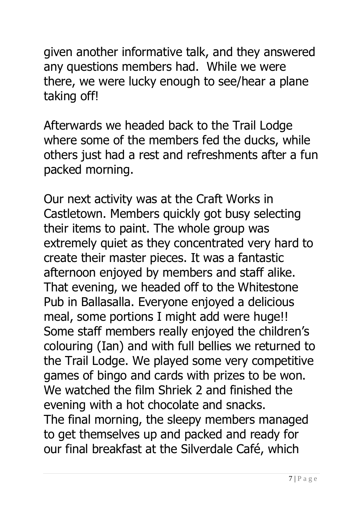given another informative talk, and they answered any questions members had. While we were there, we were lucky enough to see/hear a plane taking off!

Afterwards we headed back to the Trail Lodge where some of the members fed the ducks, while others just had a rest and refreshments after a fun packed morning.

Our next activity was at the Craft Works in Castletown. Members quickly got busy selecting their items to paint. The whole group was extremely quiet as they concentrated very hard to create their master pieces. It was a fantastic afternoon enjoyed by members and staff alike. That evening, we headed off to the Whitestone Pub in Ballasalla. Everyone enjoyed a delicious meal, some portions I might add were huge!! Some staff members really enjoyed the children's colouring (Ian) and with full bellies we returned to the Trail Lodge. We played some very competitive games of bingo and cards with prizes to be won. We watched the film Shriek 2 and finished the evening with a hot chocolate and snacks. The final morning, the sleepy members managed to get themselves up and packed and ready for our final breakfast at the Silverdale Café, which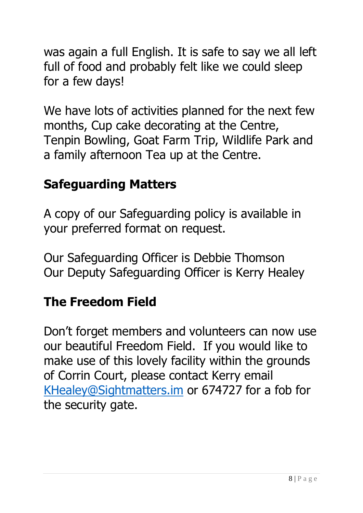was again a full English. It is safe to say we all left full of food and probably felt like we could sleep for a few days!

We have lots of activities planned for the next few months, Cup cake decorating at the Centre, Tenpin Bowling, Goat Farm Trip, Wildlife Park and a family afternoon Tea up at the Centre.

#### **Safeguarding Matters**

A copy of our Safeguarding policy is available in your preferred format on request.

Our Safeguarding Officer is Debbie Thomson Our Deputy Safeguarding Officer is Kerry Healey

#### **The Freedom Field**

Don't forget members and volunteers can now use our beautiful Freedom Field. If you would like to make use of this lovely facility within the grounds of Corrin Court, please contact Kerry email [KHealey@Sightmatters.im](mailto:KHealey@Sightmatters.im) or 674727 for a fob for the security gate.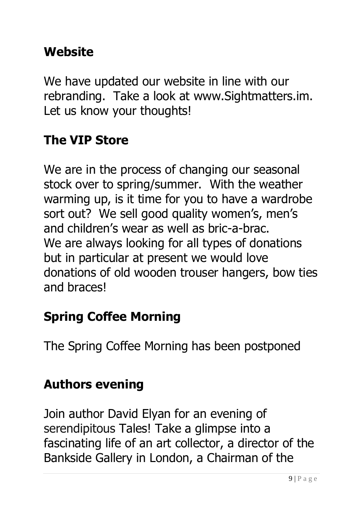### **Website**

We have updated our website in line with our rebranding. Take a look at [www.Sightmatters.im.](http://www.sightmatters.im/) Let us know your thoughts!

#### **The VIP Store**

We are in the process of changing our seasonal stock over to spring/summer. With the weather warming up, is it time for you to have a wardrobe sort out? We sell good quality women's, men's and children's wear as well as bric-a-brac. We are always looking for all types of donations but in particular at present we would love donations of old wooden trouser hangers, bow ties and braces!

### **Spring Coffee Morning**

The Spring Coffee Morning has been postponed

### **Authors evening**

Join author David Elyan for an evening of serendipitous Tales! Take a glimpse into a fascinating life of an art collector, a director of the Bankside Gallery in London, a Chairman of the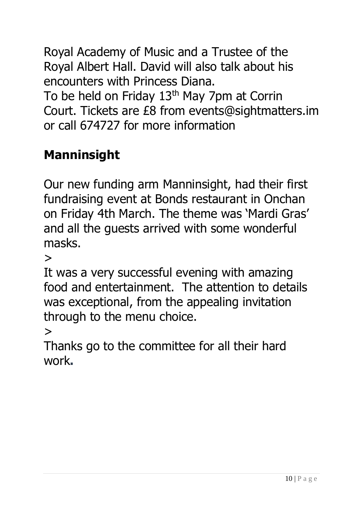Royal Academy of Music and a Trustee of the Royal Albert Hall. David will also talk about his encounters with Princess Diana. To be held on Friday 13<sup>th</sup> May 7pm at Corrin Court. Tickets are £8 from events@sightmatters.im or call 674727 for more information

## **Manninsight**

Our new funding arm Manninsight, had their first fundraising event at Bonds restaurant in Onchan on Friday 4th March. The theme was 'Mardi Gras' and all the guests arrived with some wonderful masks.

>

It was a very successful evening with amazing food and entertainment. The attention to details was exceptional, from the appealing invitation through to the menu choice.

>

Thanks go to the committee for all their hard work**.**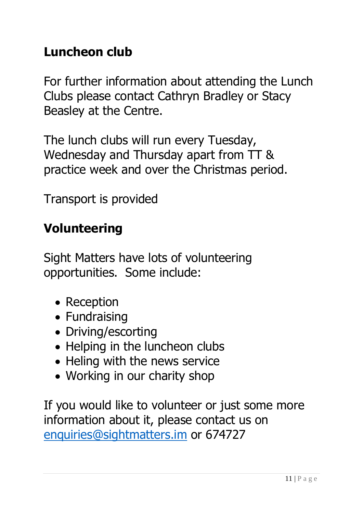### **Luncheon club**

For further information about attending the Lunch Clubs please contact Cathryn Bradley or Stacy Beasley at the Centre.

The lunch clubs will run every Tuesday, Wednesday and Thursday apart from TT & practice week and over the Christmas period.

Transport is provided

#### **Volunteering**

Sight Matters have lots of volunteering opportunities. Some include:

- Reception
- Fundraising
- Driving/escorting
- Helping in the luncheon clubs
- Heling with the news service
- Working in our charity shop

If you would like to volunteer or just some more information about it, please contact us on [enquiries@sightmatters.im](mailto:enquiries@sightmatters.im) or 674727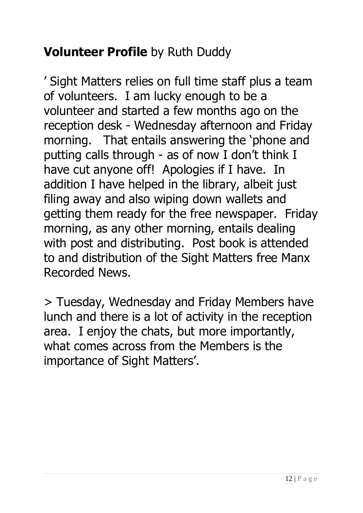## **Volunteer Profile** by Ruth Duddy

' Sight Matters relies on full time staff plus a team of volunteers. I am lucky enough to be a volunteer and started a few months ago on the reception desk - Wednesday afternoon and Friday morning. That entails answering the 'phone and putting calls through - as of now I don't think I have cut anyone off! Apologies if I have. In addition I have helped in the library, albeit just filing away and also wiping down wallets and getting them ready for the free newspaper. Friday morning, as any other morning, entails dealing with post and distributing. Post book is attended to and distribution of the Sight Matters free Manx Recorded News.

> Tuesday, Wednesday and Friday Members have lunch and there is a lot of activity in the reception area. I enjoy the chats, but more importantly, what comes across from the Members is the importance of Sight Matters'.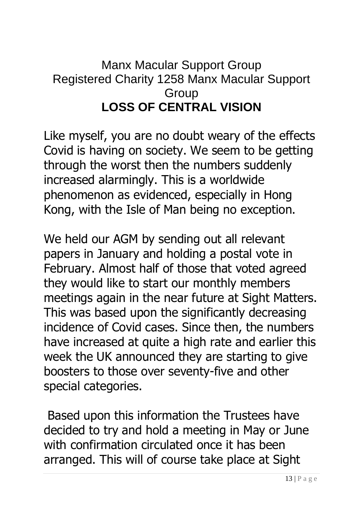#### Manx Macular Support Group Registered Charity 1258 Manx Macular Support **Group LOSS OF CENTRAL VISION**

Like myself, you are no doubt weary of the effects Covid is having on society. We seem to be getting through the worst then the numbers suddenly increased alarmingly. This is a worldwide phenomenon as evidenced, especially in Hong Kong, with the Isle of Man being no exception.

We held our AGM by sending out all relevant papers in January and holding a postal vote in February. Almost half of those that voted agreed they would like to start our monthly members meetings again in the near future at Sight Matters. This was based upon the significantly decreasing incidence of Covid cases. Since then, the numbers have increased at quite a high rate and earlier this week the UK announced they are starting to give boosters to those over seventy-five and other special categories.

Based upon this information the Trustees have decided to try and hold a meeting in May or June with confirmation circulated once it has been arranged. This will of course take place at Sight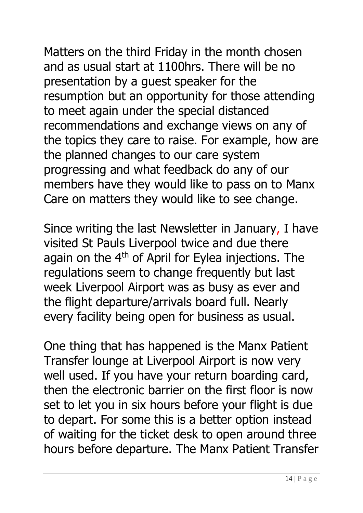Matters on the third Friday in the month chosen and as usual start at 1100hrs. There will be no

presentation by a guest speaker for the resumption but an opportunity for those attending to meet again under the special distanced recommendations and exchange views on any of the topics they care to raise. For example, how are the planned changes to our care system progressing and what feedback do any of our members have they would like to pass on to Manx Care on matters they would like to see change.

Since writing the last Newsletter in January, I have visited St Pauls Liverpool twice and due there again on the 4<sup>th</sup> of April for Eylea injections. The regulations seem to change frequently but last week Liverpool Airport was as busy as ever and the flight departure/arrivals board full. Nearly every facility being open for business as usual.

One thing that has happened is the Manx Patient Transfer lounge at Liverpool Airport is now very well used. If you have your return boarding card, then the electronic barrier on the first floor is now set to let you in six hours before your flight is due to depart. For some this is a better option instead of waiting for the ticket desk to open around three hours before departure. The Manx Patient Transfer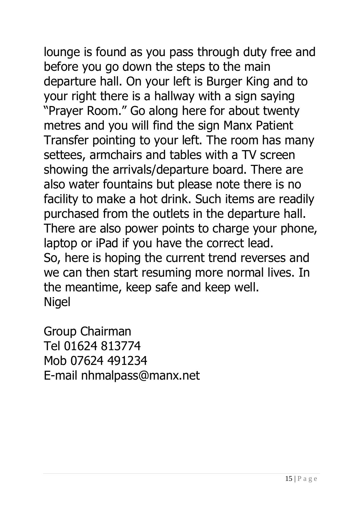lounge is found as you pass through duty free and before you go down the steps to the main departure hall. On your left is Burger King and to your right there is a hallway with a sign saying "Prayer Room." Go along here for about twenty metres and you will find the sign Manx Patient Transfer pointing to your left. The room has many settees, armchairs and tables with a TV screen showing the arrivals/departure board. There are also water fountains but please note there is no facility to make a hot drink. Such items are readily purchased from the outlets in the departure hall. There are also power points to charge your phone, laptop or iPad if you have the correct lead. So, here is hoping the current trend reverses and we can then start resuming more normal lives. In the meantime, keep safe and keep well. Nigel

Group Chairman Tel 01624 813774 Mob 07624 491234 E-mail nhmalpass@manx.net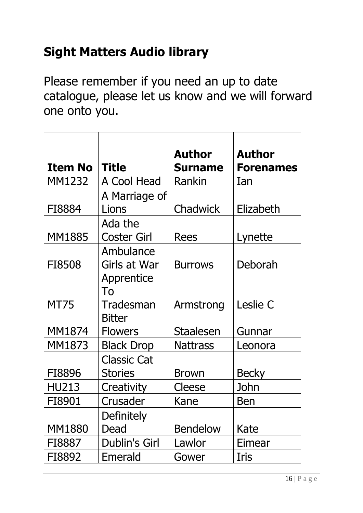### **Sight Matters Audio library**

Please remember if you need an up to date catalogue, please let us know and we will forward one onto you.

|                |                      | <b>Author</b>    | <b>Author</b>    |
|----------------|----------------------|------------------|------------------|
| <b>Item No</b> | <b>Title</b>         | <b>Surname</b>   | <b>Forenames</b> |
| MM1232         | A Cool Head          | Rankin           | Ian              |
|                | A Marriage of        |                  |                  |
| FI8884         | Lions                | Chadwick         | Elizabeth        |
|                | Ada the              |                  |                  |
| <b>MM1885</b>  | Coster Girl          | <b>Rees</b>      | Lynette          |
|                | Ambulance            |                  |                  |
| FI8508         | Girls at War         | <b>Burrows</b>   | Deborah          |
|                | Apprentice           |                  |                  |
|                | To                   |                  |                  |
| <b>MT75</b>    | Tradesman            | Armstrong        | Leslie C         |
|                | <b>Bitter</b>        |                  |                  |
| MM1874         | <b>Flowers</b>       | <b>Staalesen</b> | Gunnar           |
| MM1873         | <b>Black Drop</b>    | <b>Nattrass</b>  | Leonora          |
|                | <b>Classic Cat</b>   |                  |                  |
| FI8896         | <b>Stories</b>       | <b>Brown</b>     | <b>Becky</b>     |
| <b>HU213</b>   | Creativity           | Cleese           | John             |
| FI8901         | Crusader             | Kane             | Ben              |
|                | <b>Definitely</b>    |                  |                  |
| <b>MM1880</b>  | Dead                 | <b>Bendelow</b>  | Kate             |
| FI8887         | <b>Dublin's Girl</b> | Lawlor           | Eimear           |
| FI8892         | Emerald              | Gower            | Iris             |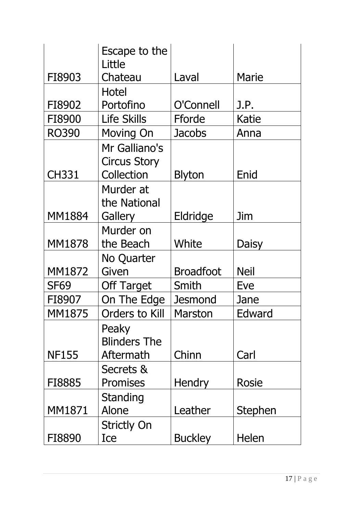|               | Escape to the<br>Little                            |                  |              |
|---------------|----------------------------------------------------|------------------|--------------|
| FI8903        | Chateau                                            | Laval            | Marie        |
|               | Hotel                                              |                  |              |
| FI8902        | Portofino                                          | O'Connell        | J.P.         |
| FI8900        | <b>Life Skills</b>                                 | Fforde           | Katie        |
| <b>RO390</b>  | Moving On                                          | Jacobs           | Anna         |
| <b>CH331</b>  | Mr Galliano's<br><b>Circus Story</b><br>Collection | <b>Blyton</b>    | Enid         |
| <b>MM1884</b> | Murder at<br>the National<br>Gallery               | Eldridge         | Jim          |
|               | Murder on                                          |                  |              |
| <b>MM1878</b> | the Beach                                          | White            | <b>Daisy</b> |
|               | No Quarter                                         |                  |              |
| MM1872        | Given                                              | <b>Broadfoot</b> | <b>Neil</b>  |
| <b>SF69</b>   | <b>Off Target</b>                                  | Smith            | Eve          |
| FI8907        | On The Edge                                        | <b>Jesmond</b>   | Jane         |
| MM1875        | <b>Orders to Kill</b>                              | <b>Marston</b>   | Edward       |
| <b>NF155</b>  | Peaky<br><b>Blinders The</b><br>Aftermath          | Chinn            | Carl         |
|               | Secrets &                                          |                  |              |
| FI8885        | <b>Promises</b>                                    | <b>Hendry</b>    | <b>Rosie</b> |
| MM1871        | <b>Standing</b><br>Alone                           | Leather          | Stephen      |
| FI8890        | <b>Strictly On</b><br>Ice                          | <b>Buckley</b>   | Helen        |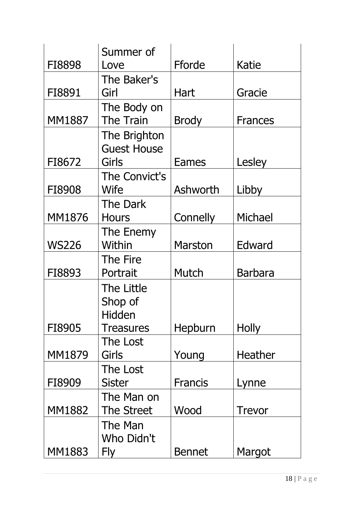|               | Summer of          |                |                |
|---------------|--------------------|----------------|----------------|
| FI8898        | Love               | Fforde         | Katie          |
|               | The Baker's        |                |                |
| FI8891        | Girl               | Hart           | Gracie         |
|               | The Body on        |                |                |
| <b>MM1887</b> | <b>The Train</b>   | <b>Brody</b>   | <b>Frances</b> |
|               | The Brighton       |                |                |
|               | <b>Guest House</b> |                |                |
| FI8672        | Girls              | <b>Eames</b>   | Lesley         |
|               | The Convict's      |                |                |
| FI8908        | Wife               | Ashworth       | Libby          |
|               | The Dark           |                |                |
| <b>MM1876</b> | <b>Hours</b>       | Connelly       | Michael        |
|               | The Enemy          |                |                |
| <b>WS226</b>  | Within             | <b>Marston</b> | Edward         |
|               | The Fire           |                |                |
| FI8893        | Portrait           | Mutch          | <b>Barbara</b> |
|               | The Little         |                |                |
|               | Shop of            |                |                |
|               | Hidden             |                |                |
| FI8905        | <b>Treasures</b>   | Hepburn        | <b>Holly</b>   |
|               | The Lost           |                |                |
| MM1879        | Girls              | Young          | Heather        |
|               | The Lost           |                |                |
| FI8909        | Sister             | <b>Francis</b> | Lynne          |
|               | The Man on         |                |                |
| <b>MM1882</b> | The Street         | Wood           | <b>Trevor</b>  |
|               | The Man            |                |                |
|               | Who Didn't         |                |                |
| <b>MM1883</b> | Fly                | <b>Bennet</b>  | Margot         |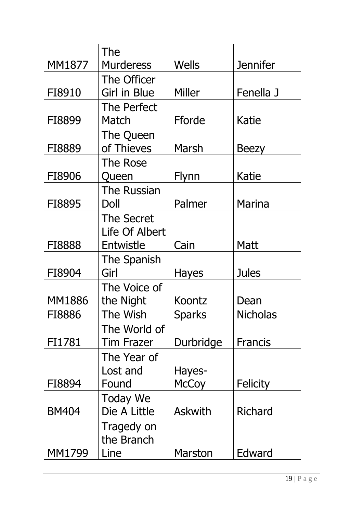|               | The                |                |                 |
|---------------|--------------------|----------------|-----------------|
| MM1877        | <b>Murderess</b>   | <b>Wells</b>   | <b>Jennifer</b> |
|               | The Officer        |                |                 |
| FI8910        | Girl in Blue       | Miller         | Fenella J       |
|               | <b>The Perfect</b> |                |                 |
| FI8899        | Match              | Fforde         | Katie           |
|               | The Queen          |                |                 |
| FI8889        | of Thieves         | Marsh          | <b>Beezy</b>    |
|               | The Rose           |                |                 |
| FI8906        | Queen              | Flynn          | Katie           |
|               | <b>The Russian</b> |                |                 |
| FI8895        | Doll               | Palmer         | <b>Marina</b>   |
|               | <b>The Secret</b>  |                |                 |
|               | Life Of Albert     |                |                 |
| FI8888        | Entwistle          | Cain           | <b>Matt</b>     |
|               | The Spanish        |                |                 |
| FI8904        | Girl               | <b>Hayes</b>   | <b>Jules</b>    |
|               | The Voice of       |                |                 |
| <b>MM1886</b> | the Night          | Koontz         | Dean            |
| FI8886        | The Wish           | <b>Sparks</b>  | Nicholas        |
|               | The World of       |                |                 |
| FI1781        | <b>Tim Frazer</b>  | Durbridge      | <b>Francis</b>  |
|               | The Year of        |                |                 |
|               | Lost and           | Hayes-         |                 |
| FI8894        | Found              | <b>McCoy</b>   | <b>Felicity</b> |
|               | <b>Today We</b>    |                |                 |
| <b>BM404</b>  | Die A Little       | <b>Askwith</b> | Richard         |
|               | Tragedy on         |                |                 |
|               | the Branch         |                |                 |
| MM1799        | Line               | <b>Marston</b> | Edward          |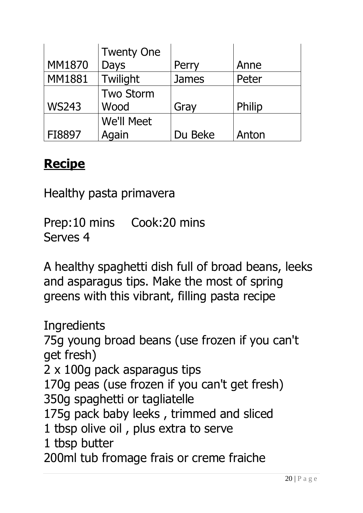|               | <b>Twenty One</b> |              |        |
|---------------|-------------------|--------------|--------|
| <b>MM1870</b> | Days              | Perry        | Anne   |
| <b>MM1881</b> | Twilight          | <b>James</b> | Peter  |
|               | <b>Two Storm</b>  |              |        |
| <b>WS243</b>  | Wood              | Gray         | Philip |
|               | We'll Meet        |              |        |
| FI8897        | Again             | Du Beke      | Anton  |

#### **Recipe**

Healthy pasta primavera

Prep:10 mins Cook:20 mins Serves 4

A healthy spaghetti dish full of broad beans, leeks and asparagus tips. Make the most of spring greens with this vibrant, filling pasta recipe

**Ingredients** 75g young broad beans (use frozen if you can't get fresh) 2 x 100g pack asparagus tips 170g peas (use frozen if you can't get fresh) 350g spaghetti or tagliatelle 175g pack baby leeks , trimmed and sliced 1 tbsp olive oil , plus extra to serve 1 tbsp butter 200ml tub fromage frais or creme fraiche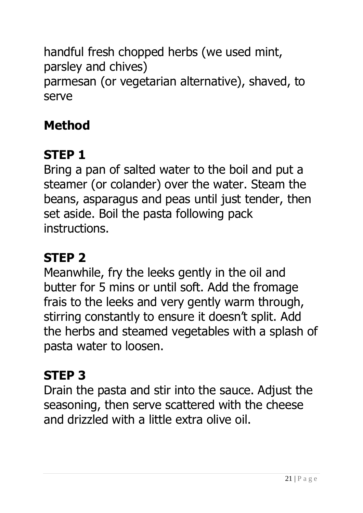handful fresh chopped herbs (we used mint, parsley and chives) parmesan (or vegetarian alternative), shaved, to serve

# **Method**

# **STEP 1**

Bring a pan of salted water to the boil and put a steamer (or colander) over the water. Steam the beans, asparagus and peas until just tender, then set aside. Boil the pasta following pack instructions.

# **STEP 2**

Meanwhile, fry the leeks gently in the oil and butter for 5 mins or until soft. Add the fromage frais to the leeks and very gently warm through, stirring constantly to ensure it doesn't split. Add the herbs and steamed vegetables with a splash of pasta water to loosen.

# **STEP 3**

Drain the pasta and stir into the sauce. Adjust the seasoning, then serve scattered with the cheese and drizzled with a little extra olive oil.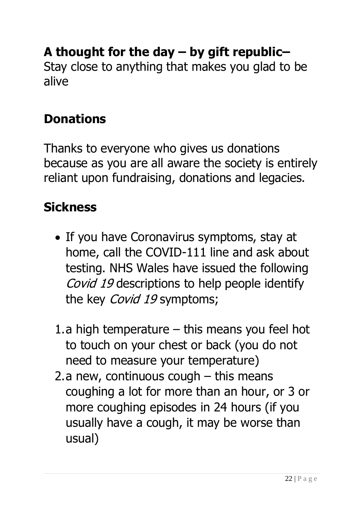# **A thought for the day – by gift republic–**

Stay close to anything that makes you glad to be alive

### **Donations**

Thanks to everyone who gives us donations because as you are all aware the society is entirely reliant upon fundraising, donations and legacies.

### **Sickness**

- If you have Coronavirus symptoms, stay at home, call the COVID-111 line and ask about testing. NHS Wales have issued the following Covid 19 descriptions to help people identify the key *Covid 19* symptoms;
- 1.a high temperature this means you feel hot to touch on your chest or back (you do not need to measure your temperature)
- 2.a new, continuous cough this means coughing a lot for more than an hour, or 3 or more coughing episodes in 24 hours (if you usually have a cough, it may be worse than usual)